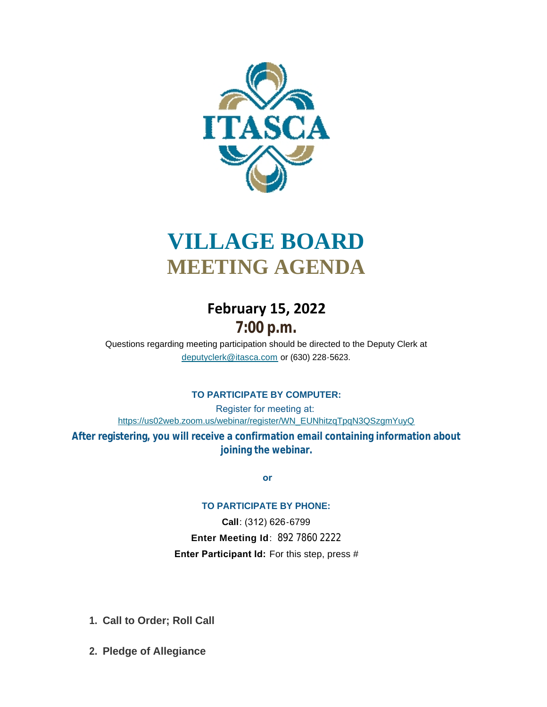

# **VILLAGE BOARD MEETING AGENDA**

# **February 15, 2022 7:00 p.m.**

[Questions regarding meeting participation sho](mailto:deputyclerk@itasca.com)uld be directed to the Deputy Clerk at deputyclerk@itasca.com or (630) 228-5623.

## **TO PARTICIPATE BY COMPUTER:**

Register for meeting at: [https://us02web.zoom.us/webinar/register/WN\\_EUNhitzqTpqN3QSzgmYuyQ](https://us02web.zoom.us/webinar/register/WN_EUNhitzqTpqN3QSzgmYuyQ)

**After registering, you will receive a confirmation email containing information about joining the webinar.**

 **or**

#### **TO PARTICIPATE BY PHONE:**

**Call**: (312) 626-6799 **Enter Meeting Id**: 892 7860 2222 **Enter Participant Id:** For this step, press #

- **Call to Order; Roll Call 1.**
- **Pledge of Allegiance 2.**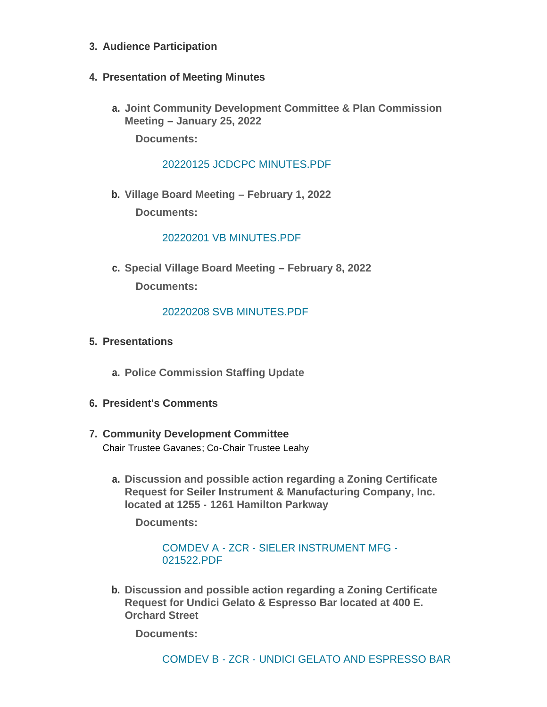- **Audience Participation 3.**
- **Presentation of Meeting Minutes 4.**
	- **Joint Community Development Committee & Plan Commission a. Meeting – January 25, 2022**

**Documents:**

[20220125 JCDCPC MINUTES.PDF](http://www.itasca.com/AgendaCenter/ViewFile/Item/7419?fileID=9403)

**Village Board Meeting – February 1, 2022 b. Documents:**

[20220201 VB MINUTES.PDF](http://www.itasca.com/AgendaCenter/ViewFile/Item/7420?fileID=9404)

**Special Village Board Meeting – February 8, 2022 c. Documents:**

### [20220208 SVB MINUTES.PDF](http://www.itasca.com/AgendaCenter/ViewFile/Item/7421?fileID=9405)

- **Presentations 5.**
	- **Police Commission Staffing Update a.**
- **President's Comments 6.**
- **Community Development Committee 7.** Chair Trustee Gavanes; Co-Chair Trustee Leahy
	- **Discussion and possible action regarding a Zoning Certificate a. Request for Seiler Instrument & Manufacturing Company, Inc. located at 1255 - 1261 Hamilton Parkway**

**Documents:**

[COMDEV A - ZCR - SIELER INSTRUMENT MFG -](http://www.itasca.com/AgendaCenter/ViewFile/Item/7423?fileID=9406) 021522.PDF

**Discussion and possible action regarding a Zoning Certificate b. Request for Undici Gelato & Espresso Bar located at 400 E. Orchard Street**

**Documents:**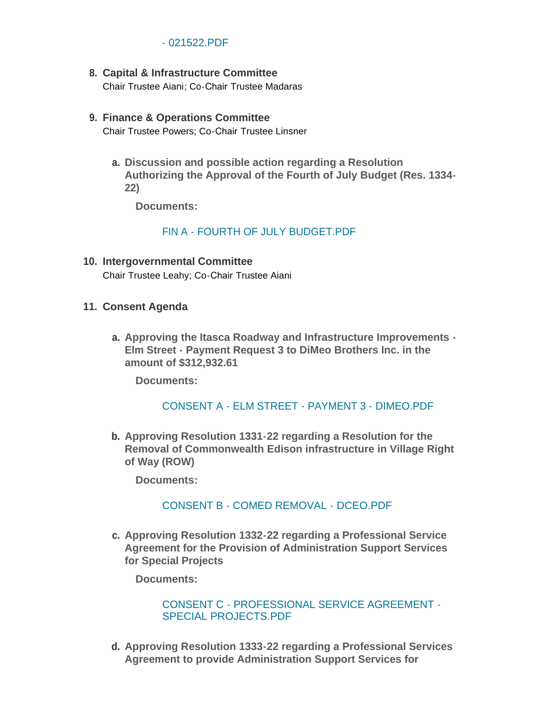#### - 021522.PDF

- **Capital & Infrastructure Committee 8.** Chair Trustee Aiani; Co-Chair Trustee Madaras
- **Finance & Operations Committee 9.** Chair Trustee Powers; Co-Chair Trustee Linsner
	- **Discussion and possible action regarding a Resolution a. Authorizing the Approval of the Fourth of July Budget (Res. 1334- 22)**

**Documents:**

[FIN A - FOURTH OF JULY BUDGET.PDF](http://www.itasca.com/AgendaCenter/ViewFile/Item/7425?fileID=9408)

- **Intergovernmental Committee 10.** Chair Trustee Leahy; Co-Chair Trustee Aiani
- **Consent Agenda 11.**
	- **Approving the Itasca Roadway and Infrastructure Improvements - a. Elm Street - Payment Request 3 to DiMeo Brothers Inc. in the amount of \$312,932.61**

**Documents:**

#### [CONSENT A - ELM STREET - PAYMENT 3 - DIMEO.PDF](http://www.itasca.com/AgendaCenter/ViewFile/Item/7426?fileID=9409)

**Approving Resolution 1331-22 regarding a Resolution for the b. Removal of Commonwealth Edison infrastructure in Village Right of Way (ROW)**

**Documents:**

#### [CONSENT B - COMED REMOVAL - DCEO.PDF](http://www.itasca.com/AgendaCenter/ViewFile/Item/7427?fileID=9410)

**Approving Resolution 1332-22 regarding a Professional Service c. Agreement for the Provision of Administration Support Services for Special Projects**

**Documents:**

[CONSENT C - PROFESSIONAL SERVICE AGREEMENT -](http://www.itasca.com/AgendaCenter/ViewFile/Item/7428?fileID=9411) SPECIAL PROJECTS.PDF

**Approving Resolution 1333-22 regarding a Professional Services d. Agreement to provide Administration Support Services for**